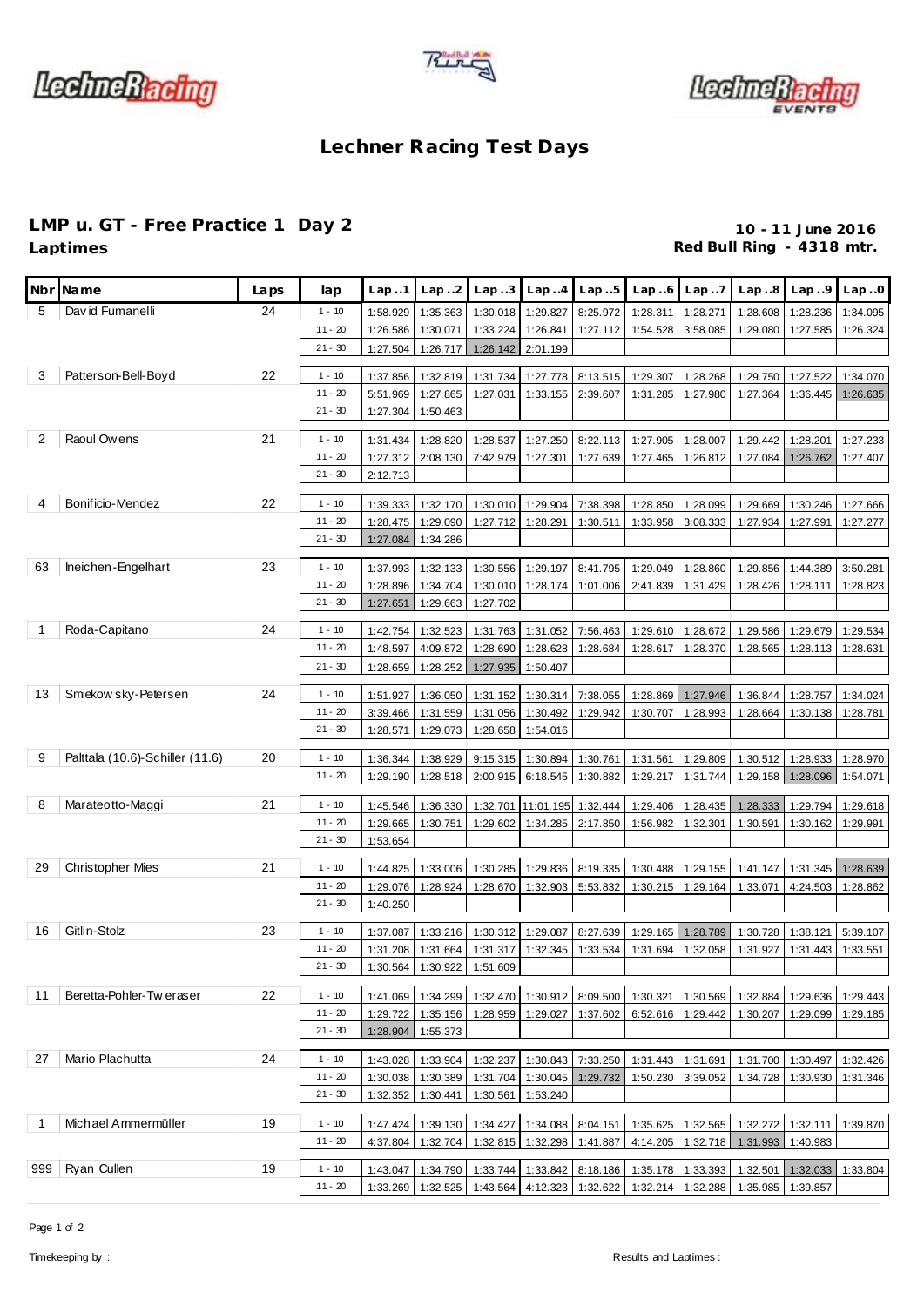





## **Lechner Racing Test Days**

## **LMP u. GT - Free Practice 1 Day 2 10 - 11 June 2016**

Red Bull Ring - 4318 mtr.

| Nbr            | Name                            | Laps | lap                    | Lap 1                | Lap.2                      | Lap3                 | Lap.4                      | Lap5                 | Lap.6                                                                            | Lap.7                | Lap.8                                                                      | Lap.9                | Lap.0                |
|----------------|---------------------------------|------|------------------------|----------------------|----------------------------|----------------------|----------------------------|----------------------|----------------------------------------------------------------------------------|----------------------|----------------------------------------------------------------------------|----------------------|----------------------|
| 5              | David Fumanelli                 | 24   | $1 - 10$               | 1:58.929             | 1:35.363                   | 1:30.018             | 1:29.827                   | 8:25.972             | 1:28.311                                                                         | 1:28.271             | 1:28.608                                                                   | 1:28.236             | 1:34.095             |
|                |                                 |      | $11 - 20$              | 1:26.586             | 1:30.071                   | 1:33.224             | 1:26.841                   | 1:27.112             | 1:54.528                                                                         | 3:58.085             | 1:29.080                                                                   | 1:27.585             | 1:26.324             |
|                |                                 |      | $21 - 30$              | 1:27.504             | 1:26.717                   | 1:26.142             | 2:01.199                   |                      |                                                                                  |                      |                                                                            |                      |                      |
|                |                                 |      |                        |                      |                            |                      |                            |                      |                                                                                  |                      |                                                                            |                      |                      |
| 3              | Patterson-Bell-Boyd             | 22   | $1 - 10$               | 1:37.856             | 1:32.819                   | 1:31.734             | 1:27.778                   | 8:13.515             | 1:29.307                                                                         | 1:28.268             | 1:29.750                                                                   | 1:27.522             | 1:34.070             |
|                |                                 |      | $11 - 20$              | 5:51.969             | 1:27.865                   | 1:27.031             | 1:33.155                   | 2:39.607             | 1:31.285                                                                         | 1:27.980             | 1:27.364                                                                   | 1:36.445             | 1:26.635             |
|                |                                 |      | $21 - 30$              | 1:27.304             | 1:50.463                   |                      |                            |                      |                                                                                  |                      |                                                                            |                      |                      |
| $\overline{2}$ | Raoul Owens                     | 21   | $1 - 10$               | 1:31.434             | 1:28.820                   | 1:28.537             | 1:27.250                   | 8:22.113             | 1:27.905                                                                         | 1:28.007             | 1:29.442                                                                   | 1:28.201             | 1:27.233             |
|                |                                 |      | $11 - 20$              | 1:27.312             | 2:08.130                   | 7:42.979             | 1:27.301                   | 1:27.639             | 1:27.465                                                                         | 1:26.812             | 1:27.084                                                                   | 1:26.762             | 1:27.407             |
|                |                                 |      | $21 - 30$              | 2:12.713             |                            |                      |                            |                      |                                                                                  |                      |                                                                            |                      |                      |
|                |                                 | 22   |                        |                      |                            |                      |                            |                      |                                                                                  |                      |                                                                            |                      |                      |
| 4              | Bonificio-Mendez                |      | $1 - 10$               | 1:39.333             | 1:32.170                   | 1:30.010             | 1:29.904                   | 7:38.398             | 1:28.850                                                                         | 1:28.099             | 1:29.669                                                                   | 1:30.246             | 1:27.666             |
|                |                                 |      | $11 - 20$<br>$21 - 30$ | 1:28.475             | 1:29.090                   | 1:27.712             | 1:28.291                   | 1:30.511             | 1:33.958                                                                         | 3:08.333             | 1:27.934                                                                   | 1:27.991             | 1:27.277             |
|                |                                 |      |                        | 1:27.084             | 1:34.286                   |                      |                            |                      |                                                                                  |                      |                                                                            |                      |                      |
| 63             | Ineichen-Engelhart              | 23   | $1 - 10$               | 1:37.993             | 1:32.133                   | 1:30.556             | 1:29.197                   | 8:41.795             | 1:29.049                                                                         | 1:28.860             | 1:29.856                                                                   | 1:44.389             | 3:50.281             |
|                |                                 |      | $11 - 20$              | 1:28.896             | 1:34.704                   | 1:30.010             | 1:28.174                   | 1:01.006             | 2:41.839                                                                         | 1:31.429             | 1:28.426                                                                   | 1:28.111             | 1:28.823             |
|                |                                 |      | $21 - 30$              | 1:27.651             | 1:29.663                   | 1:27.702             |                            |                      |                                                                                  |                      |                                                                            |                      |                      |
| $\mathbf 1$    | Roda-Capitano                   | 24   | $1 - 10$               |                      |                            |                      |                            |                      |                                                                                  |                      |                                                                            |                      |                      |
|                |                                 |      | $11 - 20$              | 1:42.754<br>1:48.597 | 1:32.523<br>4:09.872       | 1:31.763<br>1:28.690 | 1:31.052<br>1:28.628       | 7:56.463<br>1:28.684 | 1:29.610<br>1:28.617                                                             | 1:28.672<br>1:28.370 | 1:29.586<br>1:28.565                                                       | 1:29.679<br>1:28.113 | 1:29.534<br>1:28.631 |
|                |                                 |      | $21 - 30$              |                      |                            |                      | 1:50.407                   |                      |                                                                                  |                      |                                                                            |                      |                      |
|                |                                 |      |                        | 1:28.659             | 1:28.252                   | 1:27.935             |                            |                      |                                                                                  |                      |                                                                            |                      |                      |
| 13             | Smiekow sky-Petersen            | 24   | $1 - 10$               | 1:51.927             | 1:36.050                   | 1:31.152             | 1:30.314                   | 7:38.055             | 1:28.869                                                                         | 1:27.946             | 1:36.844                                                                   | 1:28.757             | 1:34.024             |
|                |                                 |      | $11 - 20$              | 3:39.466             | 1:31.559                   | 1:31.056             | 1:30.492                   | 1:29.942             | 1:30.707                                                                         | 1:28.993             | 1:28.664                                                                   | 1:30.138             | 1:28.781             |
|                |                                 |      | $21 - 30$              | 1:28.571             | 1:29.073                   | 1:28.658             | 1:54.016                   |                      |                                                                                  |                      |                                                                            |                      |                      |
| 9              | Palttala (10.6)-Schiller (11.6) | 20   | $1 - 10$               |                      | 1:38.929                   |                      |                            | 1:30.761             |                                                                                  |                      | 1:30.512                                                                   | 1:28.933             |                      |
|                |                                 |      | $11 - 20$              | 1:36.344<br>1:29.190 | 1:28.518                   | 9:15.315<br>2:00.915 | 1:30.894<br>6:18.545       | 1:30.882             | 1:31.561<br>1:29.217                                                             | 1:29.809<br>1:31.744 | 1:29.158                                                                   | 1:28.096             | 1:28.970<br>1:54.071 |
|                |                                 |      |                        |                      |                            |                      |                            |                      |                                                                                  |                      |                                                                            |                      |                      |
| 8              | Marateotto-Maggi                | 21   | $1 - 10$               | 1:45.546             | 1:36.330                   | 1:32.701             | 11:01.195                  | 1:32.444             | 1:29.406                                                                         | 1:28.435             | 1:28.333                                                                   | 1:29.794             | 1:29.618             |
|                |                                 |      | $11 - 20$              | 1:29.665             | 1:30.751                   | 1:29.602             | 1:34.285                   | 2:17.850             | 1:56.982                                                                         | 1:32.301             | 1:30.591                                                                   | 1:30.162             | 1:29.991             |
|                |                                 |      | $21 - 30$              | 1:53.654             |                            |                      |                            |                      |                                                                                  |                      |                                                                            |                      |                      |
| 29             | <b>Christopher Mies</b>         | 21   | $1 - 10$               | 1:44.825             | 1:33.006                   | 1:30.285             | 1:29.836                   | 8:19.335             | 1:30.488                                                                         | 1:29.155             | 1:41.147                                                                   | 1:31.345             | 1:28.639             |
|                |                                 |      | $11 - 20$              | 1:29.076             | 1:28.924                   | 1:28.670             | 1:32.903                   | 5:53.832             | 1:30.215                                                                         | 1:29.164             | 1:33.071                                                                   | 4:24.503             | 1:28.862             |
|                |                                 |      | $21 - 30$              | 1:40.250             |                            |                      |                            |                      |                                                                                  |                      |                                                                            |                      |                      |
|                |                                 |      |                        |                      |                            |                      |                            |                      |                                                                                  |                      |                                                                            |                      |                      |
| 16             | Gitlin-Stolz                    | 23   | $1 - 10$               | 1:37.087             | 1:33.216                   | 1:30.312             | 1:29.087                   | 8:27.639             | 1:29.165                                                                         | 1:28.789             | 1:30.728                                                                   | 1:38.121             | 5:39.107             |
|                |                                 |      | $11 - 20$              | 1:31.208             | 1:31.664                   | 1:31.317             | 1:32.345                   | 1:33.534             | 1:31.694                                                                         | 1:32.058             | 1:31.927                                                                   | 1:31.443             | 1:33.551             |
|                |                                 |      | $21 - 30$              |                      | 1:30.564 1:30.922 1:51.609 |                      |                            |                      |                                                                                  |                      |                                                                            |                      |                      |
| 11             | Beretta-Pohler-Tw eraser        | 22   | $1 - 10$               |                      | 1:41.069 1:34.299          |                      | 1:32.470 1:30.912          | 8:09.500             | 1:30.321                                                                         | 1:30.569             | 1:32.884                                                                   | 1:29.636             | 1:29.443             |
|                |                                 |      | $11 - 20$              | 1:29.722             | 1:35.156                   | 1:28.959             | 1:29.027                   | 1:37.602             | 6:52.616                                                                         | 1:29.442             | 1:30.207                                                                   | 1:29.099             | 1:29.185             |
|                |                                 |      | $21 - 30$              | 1:28.904             | 1:55.373                   |                      |                            |                      |                                                                                  |                      |                                                                            |                      |                      |
|                |                                 |      |                        |                      |                            |                      |                            |                      |                                                                                  |                      |                                                                            |                      |                      |
| 27             | Mario Plachutta                 | 24   | $1 - 10$               | 1:43.028             | 1:33.904                   | 1:32.237             | 1:30.843                   | 7:33.250             | 1:31.443                                                                         | 1:31.691             | 1:31.700                                                                   | 1:30.497             | 1:32.426             |
|                |                                 |      | $11 - 20$              | 1:30.038             | 1:30.389                   | 1:31.704             | 1:30.045                   | 1:29.732             | 1:50.230                                                                         | 3:39.052             | 1:34.728                                                                   | 1:30.930             | 1:31.346             |
|                |                                 |      | $21 - 30$              | 1:32.352             | 1:30.441                   | 1:30.561             | 1:53.240                   |                      |                                                                                  |                      |                                                                            |                      |                      |
| $\overline{1}$ | Michael Ammermüller             | 19   | $1 - 10$               | 1:47.424             | 1:39.130                   | 1:34.427             | 1:34.088 8:04.151          |                      |                                                                                  | 1:35.625 1:32.565    |                                                                            | 1:32.272 1:32.111    | 1:39.870             |
|                |                                 |      | $11 - 20$              | 4:37.804             | 1:32.704                   |                      | 1:32.815 1:32.298 1:41.887 |                      |                                                                                  |                      | 4:14.205   1:32.718   1:31.993   1:40.983                                  |                      |                      |
|                |                                 |      |                        |                      |                            |                      |                            |                      |                                                                                  |                      |                                                                            |                      |                      |
| 999            | Ryan Cullen                     | 19   | $1 - 10$               | 1:43.047             | 1:34.790                   |                      |                            |                      |                                                                                  |                      | 1:33.744   1:33.842   8:18.186   1:35.178   1:33.393   1:32.501   1:32.033 |                      | 1:33.804             |
|                |                                 |      | $11 - 20$              |                      |                            |                      |                            |                      | 1:33.269 1:32.525 1:43.564 4:12.323 1:32.622 1:32.214 1:32.288 1:35.985 1:39.857 |                      |                                                                            |                      |                      |